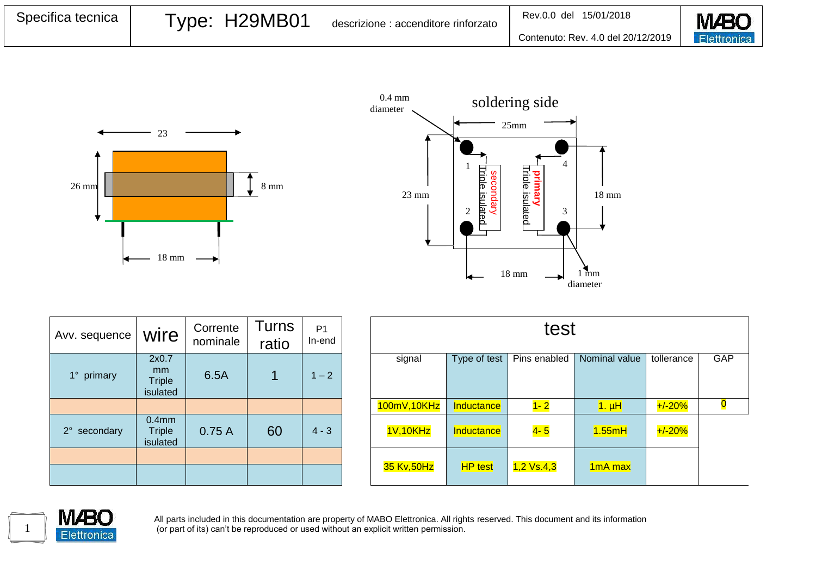| Specifica tecnica | Type: H29MB01 | descrizione : accenditore rinforzato | Rev.0.0 del 15/01/2018             | <b>M</b> <sub>BC</sub> |
|-------------------|---------------|--------------------------------------|------------------------------------|------------------------|
|                   |               |                                      | Contenuto: Rev. 4.0 del 20/12/2019 | <b>Elettronica</b>     |





| Avv. sequence            | wire                                           | Corrente<br>nominale | Turns<br>ratio | P <sub>1</sub><br>In-end |
|--------------------------|------------------------------------------------|----------------------|----------------|--------------------------|
| 1° primary               | 2x0.7<br>mm<br><b>Triple</b><br>isulated       | 6.5A                 |                | $1 - 2$                  |
|                          |                                                |                      |                |                          |
| $2^{\circ}$<br>secondary | 0.4 <sub>mm</sub><br><b>Triple</b><br>isulated | 0.75A                | 60             | $4 - 3$                  |
|                          |                                                |                      |                |                          |
|                          |                                                |                      |                |                          |

| Turns<br>P <sub>1</sub><br>In-end |       | test         |                |              |                                 |            |     |
|-----------------------------------|-------|--------------|----------------|--------------|---------------------------------|------------|-----|
| $1 - 2$                           |       | signal       | Type of test   | Pins enabled | Nominal value                   | tollerance | GAP |
|                                   |       | 100mV, 10KHz | Inductance     | $1 - 2$      | $1. \muH$                       | $+/-20%$   |     |
| $4 - 3$                           |       | 1V,10KHz     | Inductance     | $4 - 5$      | 1.55mH                          | $+/-20%$   |     |
|                                   |       | 35 Kv, 50Hz  | <b>HP</b> test | $1,2$ Vs.4,3 | 1 <sub>m</sub> A <sub>max</sub> |            |     |
|                                   | ratio |              |                |              |                                 |            |     |



All parts included in this documentation are property of MABO Elettronica. All rights reserved. This document and its information (or part of its) can't be reproduced or used without an explicit written permission.